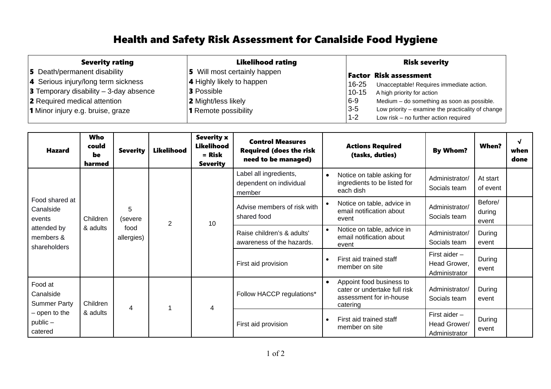## Health and Safety Risk Assessment for Canalside Food Hygiene

| <b>Severity rating</b>                          | <b>Likelihood rating</b>         | <b>Risk severity</b>                                         |  |  |  |
|-------------------------------------------------|----------------------------------|--------------------------------------------------------------|--|--|--|
| 5 Death/permanent disability                    | 5 Will most certainly happen     | <b>Factor Risk assessment</b>                                |  |  |  |
| 4 Serious injury/long term sickness             | <b>4</b> Highly likely to happen | 16-25<br>Unacceptable! Requires immediate action.            |  |  |  |
| <b>3</b> Temporary disability $-$ 3-day absence | <b>3</b> Possible                | $10 - 15$<br>A high priority for action                      |  |  |  |
| 2 Required medical attention                    | <b>2</b> Might/less likely       | $6 - 9$<br>Medium - do something as soon as possible.        |  |  |  |
| 1 Minor injury e.g. bruise, graze               | <b>1</b> Remote possibility      | $3 - 5$<br>Low priority – examine the practicality of change |  |  |  |
|                                                 |                                  | $1 - 2$<br>Low risk - no further action required             |  |  |  |

| <b>Hazard</b>                                                                         | <b>Who</b><br>could<br>be<br>harmed | <b>Severity</b>                    | Likelihood     | <b>Severity x</b><br><b>Likelihood</b><br>$=$ Risk<br><b>Severity</b> | <b>Control Measures</b><br><b>Required (does the risk</b><br>need to be managed) | <b>Actions Required</b><br><b>When?</b><br><b>By Whom?</b><br>(tasks, duties)                                                                                     | $\sqrt{ }$<br>when<br>done |
|---------------------------------------------------------------------------------------|-------------------------------------|------------------------------------|----------------|-----------------------------------------------------------------------|----------------------------------------------------------------------------------|-------------------------------------------------------------------------------------------------------------------------------------------------------------------|----------------------------|
| Food shared at<br>Canalside<br>events<br>attended by<br>members &<br>shareholders     | Children<br>& adults                | 5<br>(severe<br>food<br>allergies) | $\overline{2}$ | 10                                                                    | Label all ingredients,<br>dependent on individual<br>member                      | Notice on table asking for<br>$\bullet$<br>Administrator/<br>At start<br>ingredients to be listed for<br>Socials team<br>of event<br>each dish                    |                            |
|                                                                                       |                                     |                                    |                |                                                                       | Advise members of risk with<br>shared food                                       | Before/<br>Notice on table, advice in<br>$\bullet$<br>Administrator/<br>email notification about<br>during<br>Socials team<br>event<br>event                      |                            |
|                                                                                       |                                     |                                    |                |                                                                       | Raise children's & adults'<br>awareness of the hazards.                          | Notice on table, advice in<br>$\bullet$<br>Administrator/<br>During<br>email notification about<br>Socials team<br>event<br>event                                 |                            |
|                                                                                       |                                     |                                    |                |                                                                       | First aid provision                                                              | First aider $-$<br>First aid trained staff<br>During<br>$\bullet$<br>Head Grower,<br>member on site<br>event<br>Administrator                                     |                            |
| Food at<br>Canalside<br><b>Summer Party</b><br>- open to the<br>$public -$<br>catered | Children<br>& adults                | $\overline{4}$                     |                | 4                                                                     | Follow HACCP regulations*                                                        | Appoint food business to<br>$\bullet$<br>Administrator/<br>During<br>cater or undertake full risk<br>assessment for in-house<br>Socials team<br>event<br>catering |                            |
|                                                                                       |                                     |                                    |                |                                                                       | First aid provision                                                              | First aider $-$<br>First aid trained staff<br>During<br>$\bullet$<br>Head Grower/<br>member on site<br>event<br>Administrator                                     |                            |